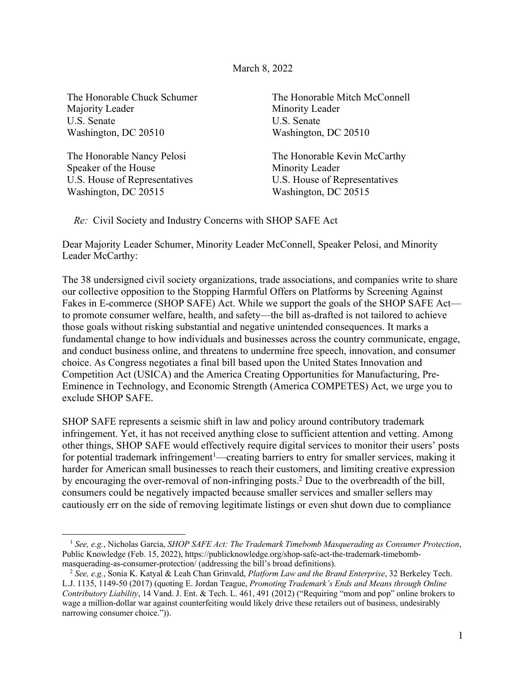## March 8, 2022

The Honorable Chuck Schumer Majority Leader U.S. Senate Washington, DC 20510

The Honorable Nancy Pelosi Speaker of the House U.S. House of Representatives Washington, DC 20515

The Honorable Mitch McConnell Minority Leader U.S. Senate Washington, DC 20510

The Honorable Kevin McCarthy Minority Leader U.S. House of Representatives Washington, DC 20515

*Re:* Civil Society and Industry Concerns with SHOP SAFE Act

Dear Majority Leader Schumer, Minority Leader McConnell, Speaker Pelosi, and Minority Leader McCarthy:

The 38 undersigned civil society organizations, trade associations, and companies write to share our collective opposition to the Stopping Harmful Offers on Platforms by Screening Against Fakes in E-commerce (SHOP SAFE) Act. While we support the goals of the SHOP SAFE Act to promote consumer welfare, health, and safety—the bill as-drafted is not tailored to achieve those goals without risking substantial and negative unintended consequences. It marks a fundamental change to how individuals and businesses across the country communicate, engage, and conduct business online, and threatens to undermine free speech, innovation, and consumer choice. As Congress negotiates a final bill based upon the United States Innovation and Competition Act (USICA) and the America Creating Opportunities for Manufacturing, Pre-Eminence in Technology, and Economic Strength (America COMPETES) Act, we urge you to exclude SHOP SAFE.

SHOP SAFE represents a seismic shift in law and policy around contributory trademark infringement. Yet, it has not received anything close to sufficient attention and vetting. Among other things, SHOP SAFE would effectively require digital services to monitor their users' posts for potential trademark infringement<sup>1</sup>—creating barriers to entry for smaller services, making it harder for American small businesses to reach their customers, and limiting creative expression by encouraging the over-removal of non-infringing posts.2 Due to the overbreadth of the bill, consumers could be negatively impacted because smaller services and smaller sellers may cautiously err on the side of removing legitimate listings or even shut down due to compliance

<sup>1</sup> *See, e.g.*, Nicholas Garcia, *SHOP SAFE Act: The Trademark Timebomb Masquerading as Consumer Protection*, Public Knowledge (Feb. 15, 2022), https://publicknowledge.org/shop-safe-act-the-trademark-timebomb-

masquerading-as-consumer-protection/ (addressing the bill's broad definitions). 2 *See, e.g.*, Sonia K. Katyal & Leah Chan Grinvald, *Platform Law and the Brand Enterprise*, 32 Berkeley Tech. L.J. 1135, 1149-50 (2017) (quoting E. Jordan Teague, *Promoting Trademark's Ends and Means through Online Contributory Liability*, 14 Vand. J. Ent. & Tech. L. 461, 491 (2012) ("Requiring "mom and pop" online brokers to wage a million-dollar war against counterfeiting would likely drive these retailers out of business, undesirably narrowing consumer choice.")).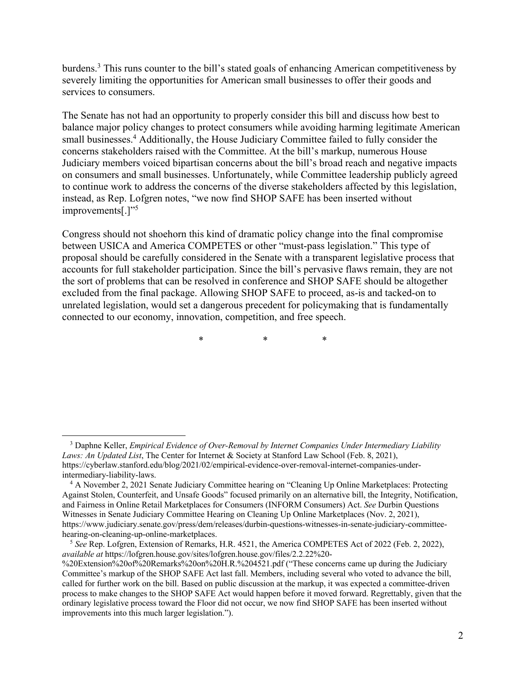burdens.3 This runs counter to the bill's stated goals of enhancing American competitiveness by severely limiting the opportunities for American small businesses to offer their goods and services to consumers.

The Senate has not had an opportunity to properly consider this bill and discuss how best to balance major policy changes to protect consumers while avoiding harming legitimate American small businesses.<sup>4</sup> Additionally, the House Judiciary Committee failed to fully consider the concerns stakeholders raised with the Committee. At the bill's markup, numerous House Judiciary members voiced bipartisan concerns about the bill's broad reach and negative impacts on consumers and small businesses. Unfortunately, while Committee leadership publicly agreed to continue work to address the concerns of the diverse stakeholders affected by this legislation, instead, as Rep. Lofgren notes, "we now find SHOP SAFE has been inserted without improvements[.]"<sup>5</sup>

Congress should not shoehorn this kind of dramatic policy change into the final compromise between USICA and America COMPETES or other "must-pass legislation." This type of proposal should be carefully considered in the Senate with a transparent legislative process that accounts for full stakeholder participation. Since the bill's pervasive flaws remain, they are not the sort of problems that can be resolved in conference and SHOP SAFE should be altogether excluded from the final package. Allowing SHOP SAFE to proceed, as-is and tacked-on to unrelated legislation, would set a dangerous precedent for policymaking that is fundamentally connected to our economy, innovation, competition, and free speech.

\* \* \*

<sup>3</sup> Daphne Keller, *Empirical Evidence of Over-Removal by Internet Companies Under Intermediary Liability Laws: An Updated List*, The Center for Internet & Society at Stanford Law School (Feb. 8, 2021), https://cyberlaw.stanford.edu/blog/2021/02/empirical-evidence-over-removal-internet-companies-underintermediary-liability-laws.

<sup>4</sup> A November 2, 2021 Senate Judiciary Committee hearing on "Cleaning Up Online Marketplaces: Protecting Against Stolen, Counterfeit, and Unsafe Goods" focused primarily on an alternative bill, the Integrity, Notification, and Fairness in Online Retail Marketplaces for Consumers (INFORM Consumers) Act. *See* Durbin Questions Witnesses in Senate Judiciary Committee Hearing on Cleaning Up Online Marketplaces (Nov. 2, 2021), https://www.judiciary.senate.gov/press/dem/releases/durbin-questions-witnesses-in-senate-judiciary-committeehearing-on-cleaning-up-online-marketplaces.

<sup>5</sup> *See* Rep. Lofgren, Extension of Remarks, H.R. 4521, the America COMPETES Act of 2022 (Feb. 2, 2022), *available at* https://lofgren.house.gov/sites/lofgren.house.gov/files/2.2.22%20-

<sup>%20</sup>Extension%20of%20Remarks%20on%20H.R.%204521.pdf ("These concerns came up during the Judiciary Committee's markup of the SHOP SAFE Act last fall. Members, including several who voted to advance the bill, called for further work on the bill. Based on public discussion at the markup, it was expected a committee-driven process to make changes to the SHOP SAFE Act would happen before it moved forward. Regrettably, given that the ordinary legislative process toward the Floor did not occur, we now find SHOP SAFE has been inserted without improvements into this much larger legislation.").